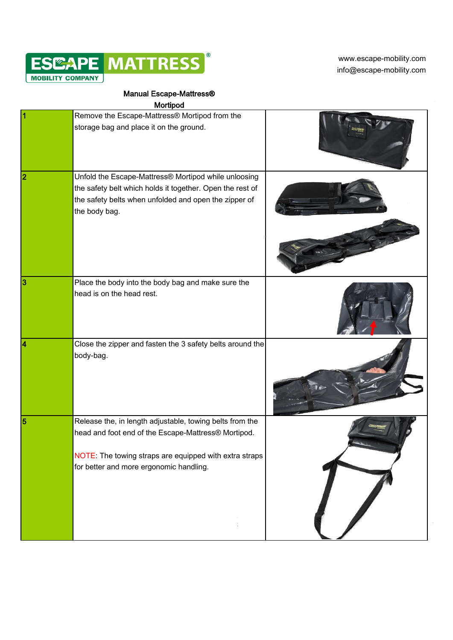

[w](http://www.escape-mobility.com/)ww.escape-mobility.com info@escape-mobility.com

## Manual Escape-Mattress®

|                | Mortipod                                                                                                                                                                                                             |  |
|----------------|----------------------------------------------------------------------------------------------------------------------------------------------------------------------------------------------------------------------|--|
| 1              | Remove the Escape-Mattress® Mortipod from the<br>storage bag and place it on the ground.                                                                                                                             |  |
| $\overline{2}$ | Unfold the Escape-Mattress® Mortipod while unloosing<br>the safety belt which holds it together. Open the rest of<br>the safety belts when unfolded and open the zipper of<br>the body bag.                          |  |
| 3              | Place the body into the body bag and make sure the<br>head is on the head rest.                                                                                                                                      |  |
| 4              | Close the zipper and fasten the 3 safety belts around the<br>body-bag.                                                                                                                                               |  |
| 5              | Release the, in length adjustable, towing belts from the<br>head and foot end of the Escape-Mattress® Mortipod.<br>NOTE: The towing straps are equipped with extra straps<br>for better and more ergonomic handling. |  |